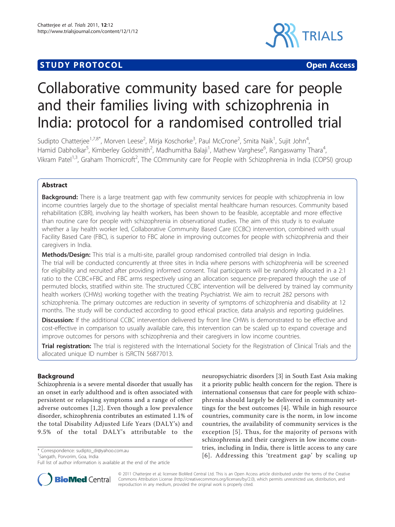# **STUDY PROTOCOL CONSUMING THE CONSUMING OPEN ACCESS**



# Collaborative community based care for people and their families living with schizophrenia in India: protocol for a randomised controlled trial

Sudipto Chatterjee<sup>1,7,8\*</sup>, Morven Leese<sup>2</sup>, Mirja Koschorke<sup>3</sup>, Paul McCrone<sup>2</sup>, Smita Naik<sup>1</sup>, Sujit John<sup>4</sup> , Hamid Dabholkar<sup>5</sup>, Kimberley Goldsmith<sup>2</sup>, Madhumitha Balaji<sup>1</sup>, Mathew Varghese<sup>6</sup>, Rangaswamy Thara<sup>4</sup> , Vikram Patel<sup>1,3</sup>, Graham Thornicroft<sup>2</sup>, The COmmunity care for People with Schizophrenia in India (COPSI) group

# Abstract

Background: There is a large treatment gap with few community services for people with schizophrenia in low income countries largely due to the shortage of specialist mental healthcare human resources. Community based rehabilitation (CBR), involving lay health workers, has been shown to be feasible, acceptable and more effective than routine care for people with schizophrenia in observational studies. The aim of this study is to evaluate whether a lay health worker led, Collaborative Community Based Care (CCBC) intervention, combined with usual Facility Based Care (FBC), is superior to FBC alone in improving outcomes for people with schizophrenia and their caregivers in India.

Methods/Design: This trial is a multi-site, parallel group randomised controlled trial design in India. The trial will be conducted concurrently at three sites in India where persons with schizophrenia will be screened for eligibility and recruited after providing informed consent. Trial participants will be randomly allocated in a 2:1 ratio to the CCBC+FBC and FBC arms respectively using an allocation sequence pre-prepared through the use of permuted blocks, stratified within site. The structured CCBC intervention will be delivered by trained lay community health workers (CHWs) working together with the treating Psychiatrist. We aim to recruit 282 persons with schizophrenia. The primary outcomes are reduction in severity of symptoms of schizophrenia and disability at 12 months. The study will be conducted according to good ethical practice, data analysis and reporting guidelines.

Discussion: If the additional CCBC intervention delivered by front line CHWs is demonstrated to be effective and cost-effective in comparison to usually available care, this intervention can be scaled up to expand coverage and improve outcomes for persons with schizophrenia and their caregivers in low income countries.

Trial registration: The trial is registered with the International Society for the Registration of Clinical Trials and the allocated unique ID number is [ISRCTN 56877013](http://www.controlled-trials.com/ISRCTN56877013).

## Background

Schizophrenia is a severe mental disorder that usually has an onset in early adulthood and is often associated with persistent or relapsing symptoms and a range of other adverse outcomes [[1,2\]](#page-12-0). Even though a low prevalence disorder, schizophrenia contributes an estimated 1.1% of the total Disability Adjusted Life Years (DALY's) and 9.5% of the total DALY's attributable to the

<sup>1</sup>Sangath, Porvorim, Goa, India

neuropsychiatric disorders [\[3](#page-12-0)] in South East Asia making it a priority public health concern for the region. There is international consensus that care for people with schizophrenia should largely be delivered in community settings for the best outcomes [\[4](#page-12-0)]. While in high resource countries, community care is the norm, in low income countries, the availability of community services is the exception [[5\]](#page-12-0). Thus, for the majority of persons with schizophrenia and their caregivers in low income countries, including in India, there is little access to any care \* Correspondence: [sudipto\\_dr@yahoo.com.au](mailto:sudipto_dr@yahoo.com.au) and this treatment gap' by scaling up this 'treatment gap' by scaling up \* Correspondence: sudipto\_dr@yahoo.com.au and this 'treatment gap' by scaling up this 'treatment gap' by sc



© 2011 Chatterjee et al; licensee BioMed Central Ltd. This is an Open Access article distributed under the terms of the Creative Commons Attribution License [\(http://creativecommons.org/licenses/by/2.0](http://creativecommons.org/licenses/by/2.0)), which permits unrestricted use, distribution, and reproduction in any medium, provided the original work is properly cited.

Full list of author information is available at the end of the article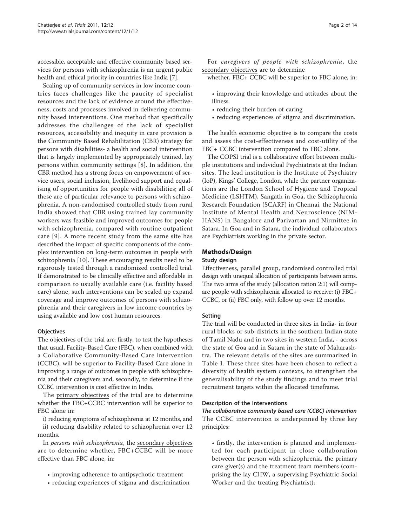accessible, acceptable and effective community based services for persons with schizophrenia is an urgent public health and ethical priority in countries like India [\[7](#page-12-0)].

Scaling up of community services in low income countries faces challenges like the paucity of specialist resources and the lack of evidence around the effectiveness, costs and processes involved in delivering community based interventions. One method that specifically addresses the challenges of the lack of specialist resources, accessibility and inequity in care provision is the Community Based Rehabilitation (CBR) strategy for persons with disabilities- a health and social intervention that is largely implemented by appropriately trained, lay persons within community settings [[8\]](#page-12-0). In addition, the CBR method has a strong focus on empowerment of service users, social inclusion, livelihood support and equalising of opportunities for people with disabilities; all of these are of particular relevance to persons with schizophrenia. A non-randomised controlled study from rural India showed that CBR using trained lay community workers was feasible and improved outcomes for people with schizophrenia, compared with routine outpatient care [[9](#page-12-0)]. A more recent study from the same site has described the impact of specific components of the complex intervention on long-term outcomes in people with schizophrenia [\[10](#page-12-0)]. These encouraging results need to be rigorously tested through a randomized controlled trial. If demonstrated to be clinically effective and affordable in comparison to usually available care (i.e. facility based care) alone, such interventions can be scaled up expand coverage and improve outcomes of persons with schizophrenia and their caregivers in low income countries by using available and low cost human resources.

#### **Objectives**

The objectives of the trial are: firstly, to test the hypotheses that usual, Facility-Based Care (FBC), when combined with a Collaborative Community-Based Care intervention (CCBC), will be superior to Facility-Based Care alone in improving a range of outcomes in people with schizophrenia and their caregivers and, secondly, to determine if the CCBC intervention is cost effective in India.

The primary objectives of the trial are to determine whether the FBC+CCBC intervention will be superior to FBC alone in:

i) reducing symptoms of schizophrenia at 12 months, and ii) reducing disability related to schizophrenia over 12 months.

In persons with schizophrenia, the secondary objectives are to determine whether, FBC+CCBC will be more effective than FBC alone, in:

- improving adherence to antipsychotic treatment
- reducing experiences of stigma and discrimination

For caregivers of people with schizophrenia, the secondary objectives are to determine

whether, FBC+ CCBC will be superior to FBC alone, in:

- improving their knowledge and attitudes about the illness
- reducing their burden of caring
- reducing experiences of stigma and discrimination.

The health economic objective is to compare the costs and assess the cost-effectiveness and cost-utility of the FBC+ CCBC intervention compared to FBC alone.

The COPSI trial is a collaborative effort between multiple institutions and individual Psychiatrists at the Indian sites. The lead institution is the Institute of Psychiatry (IoP), Kings' College, London, while the partner organizations are the London School of Hygiene and Tropical Medicine (LSHTM), Sangath in Goa, the Schizophrenia Research Foundation (SCARF) in Chennai, the National Institute of Mental Health and Neuroscience (NIM-HANS) in Bangalore and Parivartan and Nirmittee in Satara. In Goa and in Satara, the individual collaborators are Psychiatrists working in the private sector.

### Methods/Design

#### Study design

Effectiveness, parallel group, randomised controlled trial design with unequal allocation of participants between arms. The two arms of the study (allocation ration 2:1) will compare people with schizophrenia allocated to receive: (i) FBC+ CCBC, or (ii) FBC only, with follow up over 12 months.

#### Setting

The trial will be conducted in three sites in India- in four rural blocks or sub-districts in the southern Indian state of Tamil Nadu and in two sites in western India, - across the state of Goa and in Satara in the state of Maharashtra. The relevant details of the sites are summarized in Table [1](#page-2-0). These three sites have been chosen to reflect a diversity of health system contexts, to strengthen the generalisability of the study findings and to meet trial recruitment targets within the allocated timeframe.

#### Description of the Interventions

The collaborative community based care (CCBC) intervention The CCBC intervention is underpinned by three key principles:

• firstly, the intervention is planned and implemented for each participant in close collaboration between the person with schizophrenia, the primary care giver(s) and the treatment team members (comprising the lay CHW, a supervising Psychiatric Social Worker and the treating Psychiatrist);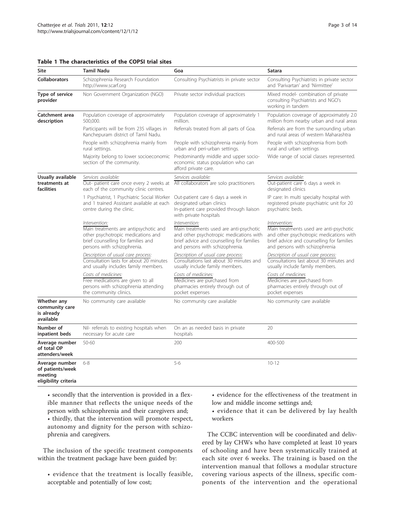<span id="page-2-0"></span>

| Table 1 The characteristics of the COPSI trial sites |  |
|------------------------------------------------------|--|
|------------------------------------------------------|--|

| Site                                                                  | <b>Tamil Nadu</b>                                                                                                                                                 | Goa                                                                                                                                                                                 | <b>Satara</b>                                                                                                                                                                      |  |  |
|-----------------------------------------------------------------------|-------------------------------------------------------------------------------------------------------------------------------------------------------------------|-------------------------------------------------------------------------------------------------------------------------------------------------------------------------------------|------------------------------------------------------------------------------------------------------------------------------------------------------------------------------------|--|--|
| <b>Collaborators</b>                                                  | Schizophrenia Research Foundation<br>http://www.scarf.org                                                                                                         | Consulting Psychiatrists in private sector                                                                                                                                          | Consulting Psychiatrists in private sector<br>and 'Parivartan' and 'Nirmittee'                                                                                                     |  |  |
| Type of service<br>provider                                           | Non Government Organization (NGO)                                                                                                                                 | Private sector individual practices                                                                                                                                                 | Mixed model-combination of private<br>consulting Psychiatrists and NGO's<br>working in tandem                                                                                      |  |  |
| Catchment area<br>description                                         | Population coverage of approximately<br>500,000.                                                                                                                  | Population coverage of approximately 1<br>million.                                                                                                                                  | Population coverage of approximately 2.0<br>million from nearby urban and rural areas                                                                                              |  |  |
|                                                                       | Participants will be from 235 villages in<br>Kanchepuram district of Tamil Nadu.                                                                                  | Referrals treated from all parts of Goa.                                                                                                                                            | Referrals are from the surrounding urban<br>and rural areas of western Maharashtra                                                                                                 |  |  |
|                                                                       | People with schizophrenia mainly from<br>rural settings.                                                                                                          | People with schizophrenia mainly from<br>urban and peri-urban settings.                                                                                                             | People with schizophrenia from both<br>rural and urban settings                                                                                                                    |  |  |
|                                                                       | Majority belong to lower socioeconomic<br>section of the community.                                                                                               | Predominantly middle and upper socio-<br>economic status population who can<br>afford private care.                                                                                 | Wide range of social classes represented.                                                                                                                                          |  |  |
| Usually available<br>treatments at<br>facilities                      | Services available:<br>Out- patient care once every 2 weeks at<br>each of the community clinic centres.                                                           | Services available:<br>All collaborators are solo practitioners                                                                                                                     | Services available:<br>Out-patient care 6 days a week in<br>designated clinics                                                                                                     |  |  |
|                                                                       | 1 Psychiatrist, 1 Psychiatric Social Worker<br>and 1 trained Assistant available at each<br>centre during the clinic.                                             | Out-patient care 6 days a week in<br>designated urban clinics<br>In-patient care provided through liaison<br>with private hospitals                                                 | IP care: In multi specialty hospital with<br>registered private psychiatric unit for 20<br>psychiatric beds.                                                                       |  |  |
|                                                                       | Intervention:<br>Main treatments are antipsychotic and<br>other psychotropic medications and<br>brief counselling for families and<br>persons with schizophrenia. | Intervention:<br>Main treatments used are anti-psychotic<br>and other psychotropic medications with<br>brief advice and counselling for families<br>and persons with schizophrenia. | Intervention:<br>Main treatments used are anti-psychotic<br>and other psychotropic medications with<br>brief advice and counselling for families<br>and persons with schizophrenia |  |  |
|                                                                       | Description of usual care process:<br>Consultation lasts for about 20 minutes<br>and usually includes family members.                                             | Description of usual care process:<br>Consultations last about 30 minutes and<br>usually include family members.                                                                    | Description of usual care process:<br>Consultations last about 30 minutes and<br>usually include family members.                                                                   |  |  |
|                                                                       | Costs of medicines:<br>Free medications are given to all<br>persons with schizophrenia attending<br>the community clinics.                                        | Costs of medicines:<br>Medicines are purchased from<br>pharmacies entirely through out of<br>pocket expenses                                                                        | Costs of medicines<br>Medicines are purchased from<br>pharmacies entirely through out of<br>pocket expenses                                                                        |  |  |
| Whether any<br>community care<br>is already<br>available              | No community care available                                                                                                                                       | No community care available                                                                                                                                                         | No community care available                                                                                                                                                        |  |  |
| Number of<br>inpatient beds                                           | Nil- referrals to existing hospitals when<br>necessary for acute care                                                                                             | On an as needed basis in private<br>hospitals                                                                                                                                       | 20                                                                                                                                                                                 |  |  |
| Average number<br>of total OP<br>attenders/week                       | 50-60                                                                                                                                                             | 200                                                                                                                                                                                 | 400-500                                                                                                                                                                            |  |  |
| Average number<br>of patients/week<br>meeting<br>eligibility criteria | $6 - 8$                                                                                                                                                           | $5 - 6$                                                                                                                                                                             | $10 - 12$                                                                                                                                                                          |  |  |

• secondly that the intervention is provided in a flexible manner that reflects the unique needs of the person with schizophrenia and their caregivers and; • thirdly, that the intervention will promote respect, autonomy and dignity for the person with schizophrenia and caregivers.

The inclusion of the specific treatment components within the treatment package have been guided by:

• evidence that the treatment is locally feasible, acceptable and potentially of low cost;

• evidence for the effectiveness of the treatment in low and middle income settings and;

• evidence that it can be delivered by lay health workers

The CCBC intervention will be coordinated and delivered by lay CHWs who have completed at least 10 years of schooling and have been systematically trained at each site over 6 weeks. The training is based on the intervention manual that follows a modular structure covering various aspects of the illness, specific components of the intervention and the operational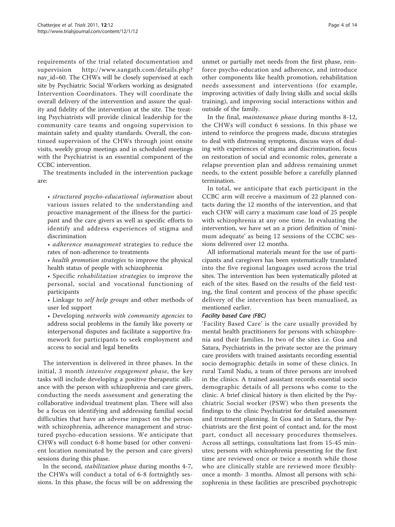requirements of the trial related documentation and supervision [http://www.sangath.com/details.php?](http://www.sangath.com/details.php?nav_id=60) [nav\\_id=60.](http://www.sangath.com/details.php?nav_id=60) The CHWs will be closely supervised at each site by Psychiatric Social Workers working as designated Intervention Coordinators. They will coordinate the overall delivery of the intervention and assure the quality and fidelity of the intervention at the site. The treating Psychiatrists will provide clinical leadership for the community care teams and ongoing supervision to maintain safety and quality standards. Overall, the continued supervision of the CHWs through joint onsite visits, weekly group meetings and in scheduled meetings with the Psychiatrist is an essential component of the CCBC intervention.

The treatments included in the intervention package are:

• structured psycho-educational information about various issues related to the understanding and proactive management of the illness for the participant and the care givers as well as specific efforts to identify and address experiences of stigma and discrimination

• adherence management strategies to reduce the rates of non-adherence to treatments

• health promotion strategies to improve the physical health status of people with schizophrenia

• Specific rehabilitation strategies to improve the personal, social and vocational functioning of participants

• Linkage to *self help groups* and other methods of user led support

• Developing networks with community agencies to address social problems in the family like poverty or interpersonal disputes and facilitate a supportive framework for participants to seek employment and access to social and legal benefits

The intervention is delivered in three phases. In the initial, 3 month intensive engagement phase, the key tasks will include developing a positive therapeutic alliance with the person with schizophrenia and care givers, conducting the needs assessment and generating the collaborative individual treatment plan. There will also be a focus on identifying and addressing familial social difficulties that have an adverse impact on the person with schizophrenia, adherence management and structured psycho-education sessions. We anticipate that CHWs will conduct 6-8 home based (or other convenient location nominated by the person and care givers) sessions during this phase.

In the second, stabilization phase during months 4-7, the CHWs will conduct a total of 6-8 fortnightly sessions. In this phase, the focus will be on addressing the

unmet or partially met needs from the first phase, reinforce psycho-education and adherence, and introduce other components like health promotion, rehabilitation needs assessment and interventions (for example, improving activities of daily living skills and social skills training), and improving social interactions within and outside of the family.

In the final, maintenance phase during months 8-12, the CHWs will conduct 6 sessions. In this phase we intend to reinforce the progress made, discuss strategies to deal with distressing symptoms, discuss ways of dealing with experiences of stigma and discrimination, focus on restoration of social and economic roles, generate a relapse prevention plan and address remaining unmet needs, to the extent possible before a carefully planned termination.

In total, we anticipate that each participant in the CCBC arm will receive a maximum of 22 planned contacts during the 12 months of the intervention, and that each CHW will carry a maximum case load of 25 people with schizophrenia at any one time. In evaluating the intervention, we have set an a priori definition of 'minimum adequate' as being 12 sessions of the CCBC sessions delivered over 12 months.

All informational materials meant for the use of participants and caregivers has been systematically translated into the five regional languages used across the trial sites. The intervention has been systematically piloted at each of the sites. Based on the results of the field testing, the final content and process of the phase specific delivery of the intervention has been manualised, as mentioned earlier.

#### Facility based Care (FBC)

'Facility Based Care' is the care usually provided by mental health practitioners for persons with schizophrenia and their families. In two of the sites i.e. Goa and Satara, Psychiatrists in the private sector are the primary care providers with trained assistants recording essential socio demographic details in some of these clinics. In rural Tamil Nadu, a team of three persons are involved in the clinics. A trained assistant records essential socio demographic details of all persons who come to the clinic. A brief clinical history is then elicited by the Psychiatric Social worker (PSW) who then presents the findings to the clinic Psychiatrist for detailed assessment and treatment planning. In Goa and in Satara, the Psychiatrists are the first point of contact and, for the most part, conduct all necessary procedures themselves. Across all settings, consultations last from 15-45 minutes; persons with schizophrenia presenting for the first time are reviewed once or twice a month while those who are clinically stable are reviewed more flexiblyonce a month- 3 months. Almost all persons with schizophrenia in these facilities are prescribed psychotropic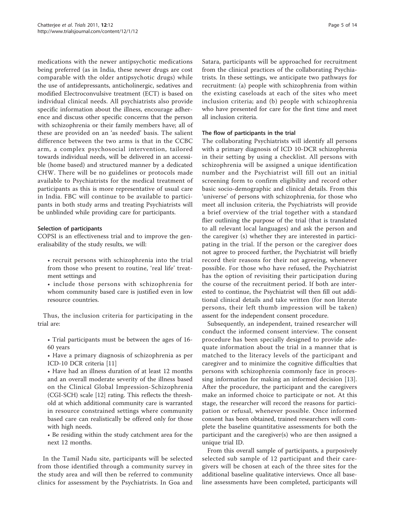medications with the newer antipsychotic medications being preferred (as in India, these newer drugs are cost comparable with the older antipsychotic drugs) while the use of antidepressants, anticholinergic, sedatives and modified Electroconvulsive treatment (ECT) is based on individual clinical needs. All psychiatrists also provide specific information about the illness, encourage adherence and discuss other specific concerns that the person with schizophrenia or their family members have; all of these are provided on an 'as needed' basis. The salient difference between the two arms is that in the CCBC arm, a complex psychosocial intervention, tailored towards individual needs, will be delivered in an accessible (home based) and structured manner by a dedicated CHW. There will be no guidelines or protocols made available to Psychiatrists for the medical treatment of participants as this is more representative of usual care in India. FBC will continue to be available to participants in both study arms and treating Psychiatrists will be unblinded while providing care for participants.

#### Selection of participants

COPSI is an effectiveness trial and to improve the generalisability of the study results, we will:

- recruit persons with schizophrenia into the trial from those who present to routine, 'real life' treatment settings and
- include those persons with schizophrenia for whom community based care is justified even in low resource countries.

Thus, the inclusion criteria for participating in the trial are:

• Trial participants must be between the ages of 16- 60 years

• Have a primary diagnosis of schizophrenia as per ICD-10 DCR criteria [\[11](#page-12-0)]

• Have had an illness duration of at least 12 months and an overall moderate severity of the illness based on the Clinical Global Impression-Schizophrenia (CGI-SCH) scale [[12](#page-12-0)] rating. This reflects the threshold at which additional community care is warranted in resource constrained settings where community based care can realistically be offered only for those with high needs.

• Be residing within the study catchment area for the next 12 months.

In the Tamil Nadu site, participants will be selected from those identified through a community survey in the study area and will then be referred to community clinics for assessment by the Psychiatrists. In Goa and Satara, participants will be approached for recruitment from the clinical practices of the collaborating Psychiatrists. In these settings, we anticipate two pathways for recruitment: (a) people with schizophrenia from within the existing caseloads at each of the sites who meet inclusion criteria; and (b) people with schizophrenia who have presented for care for the first time and meet all inclusion criteria.

#### The flow of participants in the trial

The collaborating Psychiatrists will identify all persons with a primary diagnosis of ICD 10-DCR schizophrenia in their setting by using a checklist. All persons with schizophrenia will be assigned a unique identification number and the Psychiatrist will fill out an initial screening form to confirm eligibility and record other basic socio-demographic and clinical details. From this 'universe' of persons with schizophrenia, for those who meet all inclusion criteria, the Psychiatrists will provide a brief overview of the trial together with a standard flier outlining the purpose of the trial (that is translated to all relevant local languages) and ask the person and the caregiver (s) whether they are interested in participating in the trial. If the person or the caregiver does not agree to proceed further, the Psychiatrist will briefly record their reasons for their not agreeing, whenever possible. For those who have refused, the Psychiatrist has the option of revisiting their participation during the course of the recruitment period. If both are interested to continue, the Psychiatrist will then fill out additional clinical details and take written (for non literate persons, their left thumb impression will be taken) assent for the independent consent procedure.

Subsequently, an independent, trained researcher will conduct the informed consent interview. The consent procedure has been specially designed to provide adequate information about the trial in a manner that is matched to the literacy levels of the participant and caregiver and to minimize the cognitive difficulties that persons with schizophrenia commonly face in processing information for making an informed decision [[13](#page-13-0)]. After the procedure, the participant and the caregivers make an informed choice to participate or not. At this stage, the researcher will record the reasons for participation or refusal, whenever possible. Once informed consent has been obtained, trained researchers will complete the baseline quantitative assessments for both the participant and the caregiver(s) who are then assigned a unique trial ID.

From this overall sample of participants, a purposively selected sub sample of 12 participant and their caregivers will be chosen at each of the three sites for the additional baseline qualitative interviews. Once all baseline assessments have been completed, participants will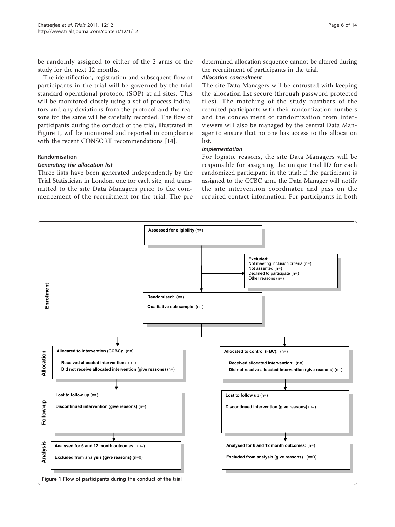be randomly assigned to either of the 2 arms of the study for the next 12 months.

The identification, registration and subsequent flow of participants in the trial will be governed by the trial standard operational protocol (SOP) at all sites. This will be monitored closely using a set of process indicators and any deviations from the protocol and the reasons for the same will be carefully recorded. The flow of participants during the conduct of the trial, illustrated in Figure 1, will be monitored and reported in compliance with the recent CONSORT recommendations [[14\]](#page-13-0).

#### Randomisation

#### Generating the allocation list

Three lists have been generated independently by the Trial Statistician in London, one for each site, and transmitted to the site Data Managers prior to the commencement of the recruitment for the trial. The pre determined allocation sequence cannot be altered during the recruitment of participants in the trial.

#### Allocation concealment

The site Data Managers will be entrusted with keeping the allocation list secure (through password protected files). The matching of the study numbers of the recruited participants with their randomization numbers and the concealment of randomization from interviewers will also be managed by the central Data Manager to ensure that no one has access to the allocation list.

#### Implementation

For logistic reasons, the site Data Managers will be responsible for assigning the unique trial ID for each randomized participant in the trial; if the participant is assigned to the CCBC arm, the Data Manager will notify the site intervention coordinator and pass on the required contact information. For participants in both

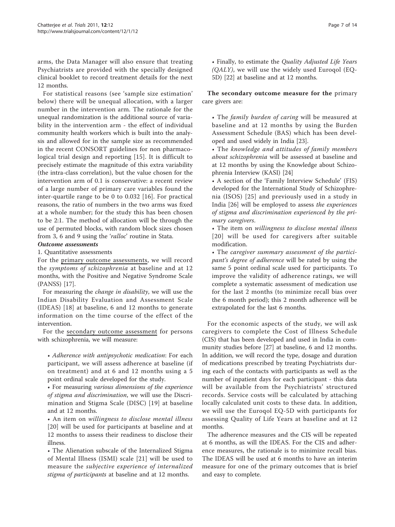arms, the Data Manager will also ensure that treating Psychiatrists are provided with the specially designed clinical booklet to record treatment details for the next 12 months.

For statistical reasons (see 'sample size estimation' below) there will be unequal allocation, with a larger number in the intervention arm. The rationale for the unequal randomization is the additional source of variability in the intervention arm - the effect of individual community health workers which is built into the analysis and allowed for in the sample size as recommended in the recent CONSORT guidelines for non pharmacological trial design and reporting [[15](#page-13-0)]. It is difficult to precisely estimate the magnitude of this extra variability (the intra-class correlation), but the value chosen for the intervention arm of 0.1 is conservative: a recent review of a large number of primary care variables found the inter-quartile range to be 0 to 0.032 [[16\]](#page-13-0). For practical reasons, the ratio of numbers in the two arms was fixed at a whole number; for the study this has been chosen to be 2:1. The method of allocation will be through the use of permuted blocks, with random block sizes chosen from 3, 6 and 9 using the 'ralloc' routine in Stata.

#### Outcome assessments

1. Quantitative assessments

For the primary outcome assessments, we will record the symptoms of schizophrenia at baseline and at 12 months, with the Positive and Negative Syndrome Scale (PANSS) [\[17\]](#page-13-0).

For measuring the change in disability, we will use the Indian Disability Evaluation and Assessment Scale (IDEAS) [[18\]](#page-13-0) at baseline, 6 and 12 months to generate information on the time course of the effect of the intervention.

For the secondary outcome assessment for persons with schizophrenia, we will measure:

• Adherence with antipsychotic medication: For each participant, we will assess adherence at baseline (if on treatment) and at 6 and 12 months using a 5 point ordinal scale developed for the study.

• For measuring various dimensions of the experience of stigma and discrimination, we will use the Discrimination and Stigma Scale (DISC) [[19\]](#page-13-0) at baseline and at 12 months.

• An item on willingness to disclose mental illness [[20](#page-13-0)] will be used for participants at baseline and at 12 months to assess their readiness to disclose their illness.

• The Alienation subscale of the Internalized Stigma of Mental Illness (ISMI) scale [[21](#page-13-0)] will be used to measure the subjective experience of internalized stigma of participants at baseline and at 12 months.

• Finally, to estimate the Quality Adjusted Life Years  $(QALY)$ , we will use the widely used Euroqol (EQ-5D) [\[22\]](#page-13-0) at baseline and at 12 months.

The secondary outcome measure for the primary care givers are:

• The family burden of caring will be measured at baseline and at 12 months by using the Burden Assessment Schedule (BAS) which has been developed and used widely in India [\[23](#page-13-0)].

• The knowledge and attitudes of family members about schizophrenia will be assessed at baseline and at 12 months by using the Knowledge about Schizophrenia Interview (KASI) [\[24](#page-13-0)]

• A section of the 'Family Interview Schedule' (FIS) developed for the International Study of Schizophrenia (ISOS) [[25\]](#page-13-0) and previously used in a study in India [\[26](#page-13-0)] will be employed to assess the experiences of stigma and discrimination experienced by the primary caregivers.

• The item on willingness to disclose mental illness [[20](#page-13-0)] will be used for caregivers after suitable modification.

• The caregiver summary assessment of the participant's degree of adherence will be rated by using the same 5 point ordinal scale used for participants. To improve the validity of adherence ratings, we will complete a systematic assessment of medication use for the last 2 months (to minimize recall bias over the 6 month period); this 2 month adherence will be extrapolated for the last 6 months.

For the economic aspects of the study, we will ask caregivers to complete the Cost of Illness Schedule (CIS) that has been developed and used in India in community studies before [[27](#page-13-0)] at baseline, 6 and 12 months. In addition, we will record the type, dosage and duration of medications prescribed by treating Psychiatrists during each of the contacts with participants as well as the number of inpatient days for each participant - this data will be available from the Psychiatrists' structured records. Service costs will be calculated by attaching locally calculated unit costs to these data. In addition, we will use the Euroqol EQ-5D with participants for assessing Quality of Life Years at baseline and at 12 months.

The adherence measures and the CIS will be repeated at 6 months, as will the IDEAS. For the CIS and adherence measures, the rationale is to minimize recall bias. The IDEAS will be used at 6 months to have an interim measure for one of the primary outcomes that is brief and easy to complete.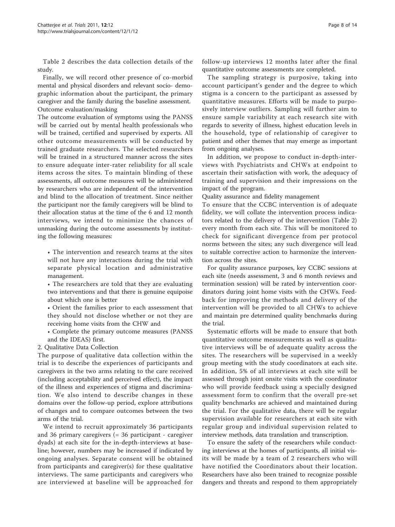Table [2](#page-8-0) describes the data collection details of the study.

Finally, we will record other presence of co-morbid mental and physical disorders and relevant socio- demographic information about the participant, the primary caregiver and the family during the baseline assessment. Outcome evaluation/masking

The outcome evaluation of symptoms using the PANSS will be carried out by mental health professionals who will be trained, certified and supervised by experts. All other outcome measurements will be conducted by trained graduate researchers. The selected researchers will be trained in a structured manner across the sites to ensure adequate inter-rater reliability for all scale items across the sites. To maintain blinding of these assessments, all outcome measures will be administered by researchers who are independent of the intervention and blind to the allocation of treatment. Since neither the participant nor the family caregivers will be blind to their allocation status at the time of the 6 and 12 month interviews, we intend to minimize the chances of unmasking during the outcome assessments by instituting the following measures:

• The intervention and research teams at the sites will not have any interactions during the trial with separate physical location and administrative management.

• The researchers are told that they are evaluating two interventions and that there is genuine equipoise about which one is better

• Orient the families prior to each assessment that they should not disclose whether or not they are receiving home visits from the CHW and

• Complete the primary outcome measures (PANSS and the IDEAS) first.

2. Qualitative Data Collection

The purpose of qualitative data collection within the trial is to describe the experiences of participants and caregivers in the two arms relating to the care received (including acceptability and perceived effect), the impact of the illness and experiences of stigma and discrimination. We also intend to describe changes in these domains over the follow-up period, explore attributions of changes and to compare outcomes between the two arms of the trial.

We intend to recruit approximately 36 participants and 36 primary caregivers (= 36 participant - caregiver dyads) at each site for the in-depth-interviews at baseline; however, numbers may be increased if indicated by ongoing analyses. Separate consent will be obtained from participants and caregiver(s) for these qualitative interviews. The same participants and caregivers who are interviewed at baseline will be approached for follow-up interviews 12 months later after the final quantitative outcome assessments are completed.

The sampling strategy is purposive, taking into account participant's gender and the degree to which stigma is a concern to the participant as assessed by quantitative measures. Efforts will be made to purposively interview outliers. Sampling will further aim to ensure sample variability at each research site with regards to severity of illness, highest education levels in the household, type of relationship of caregiver to patient and other themes that may emerge as important from ongoing analyses.

In addition, we propose to conduct in-depth-interviews with Psychiatrists and CHWs at endpoint to ascertain their satisfaction with work, the adequacy of training and supervision and their impressions on the impact of the program.

Quality assurance and fidelity management

To ensure that the CCBC intervention is of adequate fidelity, we will collate the intervention process indicators related to the delivery of the intervention (Table [2](#page-8-0)) every month from each site. This will be monitored to check for significant divergence from per protocol norms between the sites; any such divergence will lead to suitable corrective action to harmonize the intervention across the sites.

For quality assurance purposes, key CCBC sessions at each site (needs assessment, 3 and 6 month reviews and termination session) will be rated by intervention coordinators during joint home visits with the CHWs. Feedback for improving the methods and delivery of the intervention will be provided to all CHWs to achieve and maintain pre determined quality benchmarks during the trial.

Systematic efforts will be made to ensure that both quantitative outcome measurements as well as qualitative interviews will be of adequate quality across the sites. The researchers will be supervised in a weekly group meeting with the study coordinators at each site. In addition, 5% of all interviews at each site will be assessed through joint onsite visits with the coordinator who will provide feedback using a specially designed assessment form to confirm that the overall pre-set quality benchmarks are achieved and maintained during the trial. For the qualitative data, there will be regular supervision available for researchers at each site with regular group and individual supervision related to interview methods, data translation and transcription.

To ensure the safety of the researchers while conducting interviews at the homes of participants, all initial visits will be made by a team of 2 researchers who will have notified the Coordinators about their location. Researchers have also been trained to recognize possible dangers and threats and respond to them appropriately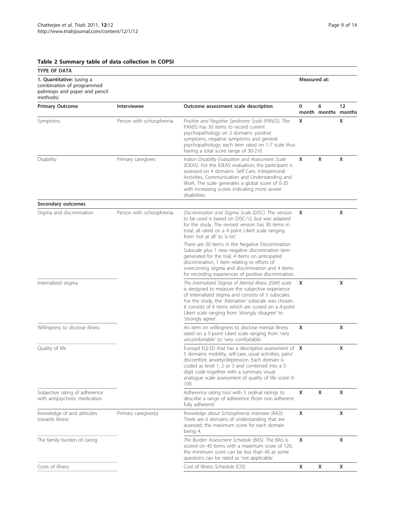# <span id="page-8-0"></span>Table 2 Summary table of data collection in COPSI

# TYPE OF DATA

| 1. Quantitative: (using a                 |  |  |  |  |
|-------------------------------------------|--|--|--|--|
| combination of programmed                 |  |  |  |  |
| palmtops and paper and pencil<br>methods) |  |  |  |  |

| <b>Primary Outcome</b>                                          | <b>Interviewee</b>        | Outcome assessment scale description                                                                                                                                                                                                                                                                                                                       | 0 | 6<br>month months months | 12 |
|-----------------------------------------------------------------|---------------------------|------------------------------------------------------------------------------------------------------------------------------------------------------------------------------------------------------------------------------------------------------------------------------------------------------------------------------------------------------------|---|--------------------------|----|
| Symptoms                                                        | Person with schizophrenia | Positive and Negative Syndrome Scale (PANSS). The<br>PANSS has 30 items to record current<br>psychopathology on 3 domains- positive<br>symptoms, negative symptoms and general<br>psychopathology; each item rated on 1-7 scale thus<br>having a total score range of 30-210.                                                                              | x |                          | x  |
| Disability                                                      | Primary caregivers        | Indian Disability Evaluation and Assessment Scale<br>(IDEAS). For the IDEAS evaluation, the participant is<br>assessed on 4 domains- Self Care, Interpersonal<br>Activities, Communication and Understanding and<br>Work. The scale generates a global score of 0-20<br>with increasing scores indicating more severe<br>disabilities                      | X | X                        | X  |
| Secondary outcomes                                              |                           |                                                                                                                                                                                                                                                                                                                                                            |   |                          |    |
| Stigma and discrimination                                       | Person with schizophrenia | Discrimination and Stigma Scale (DISC). The version<br>to be used is based on DISC-12, but was adapted<br>for the study. The revised version has 30 items in<br>total, all rated on a 4 point Likert scale ranging<br>from 'not at all' to 'a lot'.                                                                                                        | x |                          | x  |
|                                                                 |                           | There are 20 items in the Negative Discrimination<br>Subscale plus 1 new negative discrimination item<br>generated for the trial, 4 items on anticipated<br>discrimination, 1 item relating to efforts of<br>overcoming stigma and discrimination and 4 items<br>for recording experiences of positive discrimination.                                     |   |                          |    |
| Internalized stigma                                             |                           | The Internalized Stigma of Mental Illness (ISMI) scale<br>is designed to measure the subjective experience<br>of internalized stigma and consists of 5 subscales.<br>For the study, the 'Alienation' subscale was chosen.<br>It consists of 6 items which are scored on a 4-point<br>Likert scale ranging from 'strongly disagree' to<br>'strongly agree'. | X |                          | X  |
| Willingness to disclose illness                                 |                           | An item on willingness to disclose mental illness<br>rated on a 5-point Likert scale ranging from 'very<br>uncomfortable' to 'very comfortable'.                                                                                                                                                                                                           | X |                          | X  |
| Quality of life                                                 |                           | Eurogol EQ-5D that has a descriptive assessment of $\bm{X}$<br>5 domains: mobility, self-care, usual activities, pain/<br>discomfort, anxiety/depression. Each domain is<br>coded as level 1, 2 or 3 and combined into a 5<br>digit code together with a summary visual<br>analogue scale assessment of quality of life score 0-<br>100.                   |   |                          | x  |
| Subjective rating of adherence<br>with antipsychotic medication |                           | Adherence rating tool with 5 ordinal ratings to<br>describe a range of adherence (from non adherent-<br>fully adherent)                                                                                                                                                                                                                                    | x | x                        | x  |
| Knowledge of and attitudes<br>towards illness                   | Primary caregiver(s)      | Knowledge about Schizophrenia Interview (KASI).<br>There are 6 domains of understanding that are<br>assessed; the maximum score for each domain<br>being 4.                                                                                                                                                                                                | x |                          | x  |
| The family burden of caring                                     |                           | The Burden Assessment Schedule (BAS). The BAS is<br>scored on 40 items with a maximum score of 120;<br>the minimum score can be less than 40 as some<br>questions can be rated as 'not applicable'.                                                                                                                                                        | x |                          | x  |
| Costs of illness                                                |                           | Cost of Illness Schedule (CIS)                                                                                                                                                                                                                                                                                                                             | X | x                        | x  |

Measured at: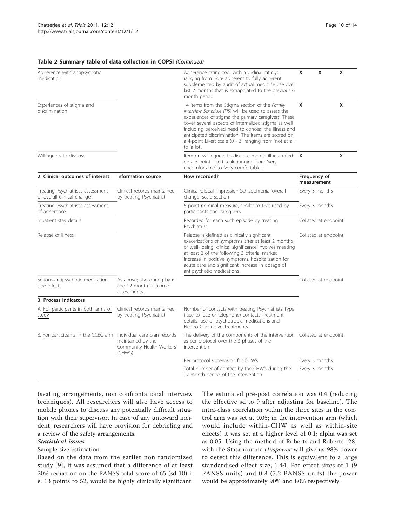#### Table 2 Summary table of data collection in COPSI (Continued)

| Adherence with antipsychotic<br>medication                       |                                                                                           | Adherence rating tool with 5 ordinal ratings<br>ranging from non- adherent to fully adherent<br>supplemented by audit of actual medicine use over<br>last 2 months that is extrapolated to the previous 6<br>month period                                                                                                                                                                                     | X                           | x              | x |
|------------------------------------------------------------------|-------------------------------------------------------------------------------------------|---------------------------------------------------------------------------------------------------------------------------------------------------------------------------------------------------------------------------------------------------------------------------------------------------------------------------------------------------------------------------------------------------------------|-----------------------------|----------------|---|
| Experiences of stigma and<br>discrimination                      |                                                                                           | 14 items from the Stigma section of the Family<br>Interview Schedule (FIS) will be used to assess the<br>experiences of stigma the primary caregivers. These<br>cover several aspects of internalized stigma as well<br>including perceived need to conceal the illness and<br>anticipated discrimination. The items are scored on<br>a 4-point Likert scale (0 - 3) ranging from 'not at all'<br>to 'a lot'. | X                           |                | x |
| Willingness to disclose                                          |                                                                                           | Item on willingness to disclose mental illness rated X<br>on a 5-point Likert scale ranging from 'very<br>uncomfortable' to 'very comfortable'.                                                                                                                                                                                                                                                               |                             |                | x |
| 2. Clinical outcomes of interest:                                | Information source                                                                        | How recorded?                                                                                                                                                                                                                                                                                                                                                                                                 | Frequency of<br>measurement |                |   |
| Treating Psychiatrist's assessment<br>of overall clinical change | Clinical records maintained<br>by treating Psychiatrist                                   | Clinical Global Impression-Schizophrenia 'overall<br>change' scale section                                                                                                                                                                                                                                                                                                                                    | Every 3 months              |                |   |
| Treating Psychiatrist's assessment<br>of adherence               |                                                                                           | 5 point nominal measure, similar to that used by<br>participants and caregivers                                                                                                                                                                                                                                                                                                                               | Every 3 months              |                |   |
| Inpatient stay details                                           |                                                                                           | Recorded for each such episode by treating<br>Psychiatrist                                                                                                                                                                                                                                                                                                                                                    | Collated at endpoint        |                |   |
| Relapse of illness                                               |                                                                                           | Relapse is defined as clinically significant<br>exacerbations of symptoms after at least 2 months<br>of well- being; clinical significance involves meeting<br>at least 2 of the following 3 criteria: marked<br>increase in positive symptoms, hospitalization for<br>acute care and significant increase in dosage of<br>antipsychotic medications                                                          | Collated at endpoint        |                |   |
| Serious antipsychotic medication<br>side effects                 | As above; also during by 6<br>and 12 month outcome<br>assessments.                        |                                                                                                                                                                                                                                                                                                                                                                                                               | Collated at endpoint        |                |   |
| 3. Process indicators                                            |                                                                                           |                                                                                                                                                                                                                                                                                                                                                                                                               |                             |                |   |
| A. For participants in both arms of<br>study                     | Clinical records maintained<br>by treating Psychiatrist                                   | Number of contacts with treating Psychiatrists Type<br>(face to face or telephone) contacts Treatment<br>details- use of psychotropic medications and<br>Electro Convulsive Treatments                                                                                                                                                                                                                        |                             |                |   |
| B. For participants in the CCBC arm                              | Individual care plan records<br>maintained by the<br>Community Health Workers'<br>(CHW's) | The delivery of the components of the intervention Collated at endpoint<br>as per protocol over the 3 phases of the<br>intervention                                                                                                                                                                                                                                                                           |                             |                |   |
|                                                                  |                                                                                           | Per protocol supervision for CHW's                                                                                                                                                                                                                                                                                                                                                                            |                             | Every 3 months |   |
|                                                                  |                                                                                           | Total number of contact by the CHW's during the<br>12 month period of the intervention                                                                                                                                                                                                                                                                                                                        |                             | Every 3 months |   |

(seating arrangements, non confrontational interview techniques). All researchers will also have access to mobile phones to discuss any potentially difficult situation with their supervisor. In case of any untoward incident, researchers will have provision for debriefing and a review of the safety arrangements.

### Statistical issues

#### Sample size estimation

Based on the data from the earlier non randomized study [[9](#page-12-0)], it was assumed that a difference of at least 20% reduction on the PANSS total score of 65 (sd 10) i. e. 13 points to 52, would be highly clinically significant. The estimated pre-post correlation was 0.4 (reducing the effective sd to 9 after adjusting for baseline). The intra-class correlation within the three sites in the control arm was set at 0.05; in the intervention arm (which would include within-CHW as well as within-site effects) it was set at a higher level of 0.1; alpha was set as 0.05. Using the method of Roberts and Roberts [\[28](#page-13-0)] with the Stata routine cluspower will give us 98% power to detect this difference. This is equivalent to a large standardised effect size, 1.44. For effect sizes of 1 (9 PANSS units) and 0.8 (7.2 PANSS units) the power would be approximately 90% and 80% respectively.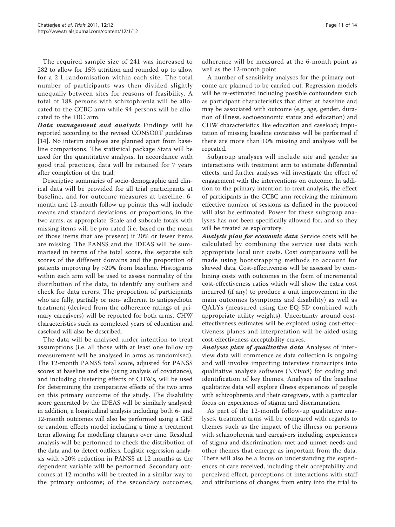The required sample size of 241 was increased to 282 to allow for 15% attrition and rounded up to allow for a 2:1 randomisation within each site. The total number of participants was then divided slightly unequally between sites for reasons of feasibility. A total of 188 persons with schizophrenia will be allocated to the CCBC arm while 94 persons will be allocated to the FBC arm.

Data management and analysis Findings will be reported according to the revised CONSORT guidelines [[14](#page-13-0)]. No interim analyses are planned apart from baseline comparisons. The statistical package Stata will be used for the quantitative analysis. In accordance with good trial practices, data will be retained for 7 years after completion of the trial.

Descriptive summaries of socio-demographic and clinical data will be provided for all trial participants at baseline, and for outcome measures at baseline, 6 month and 12-month follow up points; this will include means and standard deviations, or proportions, in the two arms, as appropriate. Scale and subscale totals with missing items will be pro-rated (i.e. based on the mean of those items that are present) if 20% or fewer items are missing. The PANSS and the IDEAS will be summarised in terms of the total score, the separate sub scores of the different domains and the proportion of patients improving by >20% from baseline. Histograms within each arm will be used to assess normality of the distribution of the data, to identify any outliers and check for data errors. The proportion of participants who are fully, partially or non- adherent to antipsychotic treatment (derived from the adherence ratings of primary caregivers) will be reported for both arms. CHW characteristics such as completed years of education and caseload will also be described.

The data will be analysed under intention-to-treat assumptions (i.e. all those with at least one follow up measurement will be analysed in arms as randomised). The 12-month PANSS total score, adjusted for PANSS scores at baseline and site (using analysis of covariance), and including clustering effects of CHWs, will be used for determining the comparative effects of the two arms on this primary outcome of the study. The disability score generated by the IDEAS will be similarly analysed; in addition, a longitudinal analysis including both 6- and 12-month outcomes will also be performed using a GEE or random effects model including a time x treatment term allowing for modelling changes over time. Residual analysis will be performed to check the distribution of the data and to detect outliers. Logistic regression analysis with >20% reduction in PANSS at 12 months as the dependent variable will be performed. Secondary outcomes at 12 months will be treated in a similar way to the primary outcome; of the secondary outcomes, adherence will be measured at the 6-month point as well as the 12-month point.

A number of sensitivity analyses for the primary outcome are planned to be carried out. Regression models will be re-estimated including possible confounders such as participant characteristics that differ at baseline and may be associated with outcome (e.g. age, gender, duration of illness, socioeconomic status and education) and CHW characteristics like education and caseload; imputation of missing baseline covariates will be performed if there are more than 10% missing and analyses will be repeated.

Subgroup analyses will include site and gender as interactions with treatment arm to estimate differential effects, and further analyses will investigate the effect of engagement with the interventions on outcome. In addition to the primary intention-to-treat analysis, the effect of participants in the CCBC arm receiving the minimum effective number of sessions as defined in the protocol will also be estimated. Power for these subgroup analyses has not been specifically allowed for, and so they will be treated as exploratory.

Analysis plan for economic data Service costs will be calculated by combining the service use data with appropriate local unit costs. Cost comparisons will be made using bootstrapping methods to account for skewed data. Cost-effectiveness will be assessed by combining costs with outcomes in the form of incremental cost-effectiveness ratios which will show the extra cost incurred (if any) to produce a unit improvement in the main outcomes (symptoms and disability) as well as QALYs (measured using the EQ-5D combined with appropriate utility weights). Uncertainty around costeffectiveness estimates will be explored using cost-effectiveness planes and interpretation will be aided using cost-effectiveness acceptability curves.

Analyses plan of qualitative data Analyses of interview data will commence as data collection is ongoing and will involve importing interview transcripts into qualitative analysis software (NVivo8) for coding and identification of key themes. Analyses of the baseline qualitative data will explore illness experiences of people with schizophrenia and their caregivers, with a particular focus on experiences of stigma and discrimination.

As part of the 12-month follow-up qualitative analyses, treatment arms will be compared with regards to themes such as the impact of the illness on persons with schizophrenia and caregivers including experiences of stigma and discrimination, met and unmet needs and other themes that emerge as important from the data. There will also be a focus on understanding the experiences of care received, including their acceptability and perceived effect, perceptions of interactions with staff and attributions of changes from entry into the trial to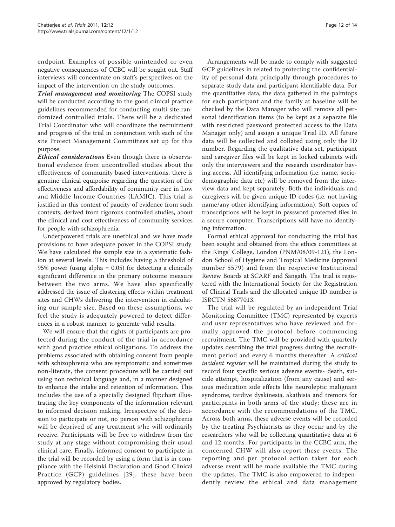endpoint. Examples of possible unintended or even negative consequences of CCBC will be sought out. Staff interviews will concentrate on staff's perspectives on the impact of the intervention on the study outcomes.

Trial management and monitoring The COPSI study will be conducted according to the good clinical practice guidelines recommended for conducting multi site randomized controlled trials. There will be a dedicated Trial Coordinator who will coordinate the recruitment and progress of the trial in conjunction with each of the site Project Management Committees set up for this purpose.

**Ethical considerations** Even though there is observational evidence from uncontrolled studies about the effectiveness of community based interventions, there is genuine clinical equipoise regarding the question of the effectiveness and affordability of community care in Low and Middle Income Countries (LAMIC). This trial is justified in this context of paucity of evidence from such contexts, derived from rigorous controlled studies, about the clinical and cost effectiveness of community services for people with schizophrenia.

Underpowered trials are unethical and we have made provisions to have adequate power in the COPSI study. We have calculated the sample size in a systematic fashion at several levels. This includes having a threshold of 95% power (using alpha = 0.05) for detecting a clinically significant difference in the primary outcome measure between the two arms. We have also specifically addressed the issue of clustering effects within treatment sites and CHWs delivering the intervention in calculating our sample size. Based on these assumptions, we feel the study is adequately powered to detect differences in a robust manner to generate valid results.

We will ensure that the rights of participants are protected during the conduct of the trial in accordance with good practice ethical obligations. To address the problems associated with obtaining consent from people with schizophrenia who are symptomatic and sometimes non-literate, the consent procedure will be carried out using non technical language and, in a manner designed to enhance the intake and retention of information. This includes the use of a specially designed flipchart illustrating the key components of the information relevant to informed decision making. Irrespective of the decision to participate or not, no person with schizophrenia will be deprived of any treatment s/he will ordinarily receive. Participants will be free to withdraw from the study at any stage without compromising their usual clinical care. Finally, informed consent to participate in the trial will be recorded by using a form that is in compliance with the Helsinki Declaration and Good Clinical Practice (GCP) guidelines [[29](#page-13-0)]; these have been approved by regulatory bodies.

Arrangements will be made to comply with suggested GCP guidelines in related to protecting the confidentiality of personal data principally through procedures to separate study data and participant identifiable data. For the quantitative data, the data gathered in the palmtops for each participant and the family at baseline will be checked by the Data Manager who will remove all personal identification items (to be kept as a separate file with restricted password protected access to the Data Manager only) and assign a unique Trial ID. All future data will be collected and collated using only the ID number. Regarding the qualitative data set, participant and caregiver files will be kept in locked cabinets with only the interviewers and the research coordinator having access. All identifying information (i.e. name, sociodemographic data etc) will be removed from the interview data and kept separately. Both the individuals and caregivers will be given unique ID codes (i.e. not having name/any other identifying information). Soft copies of transcriptions will be kept in password protected files in a secure computer. Transcriptions will have no identifying information.

Formal ethical approval for conducting the trial has been sought and obtained from the ethics committees at the Kings' College, London (PNM/08/09-121), the London School of Hygiene and Tropical Medicine (approval number 5579) and from the respective Institutional Review Boards at SCARF and Sangath. The trial is registered with the International Society for the Registration of Clinical Trials and the allocated unique ID number is ISRCTN 56877013.

The trial will be regulated by an independent Trial Monitoring Committee (TMC) represented by experts and user representatives who have reviewed and formally approved the protocol before commencing recruitment. The TMC will be provided with quarterly updates describing the trial progress during the recruitment period and every 6 months thereafter. A critical incident register will be maintained during the study to record four specific serious adverse events- death, suicide attempt, hospitalization (from any cause) and serious medication side effects like neuroleptic malignant syndrome, tardive dyskinesia, akathisia and tremors for participants in both arms of the study; these are in accordance with the recommendations of the TMC. Across both arms, these adverse events will be recorded by the treating Psychiatrists as they occur and by the researchers who will be collecting quantitative data at 6 and 12 months. For participants in the CCBC arm, the concerned CHW will also report these events. The reporting and per protocol action taken for each adverse event will be made available the TMC during the updates. The TMC is also empowered to independently review the ethical and data management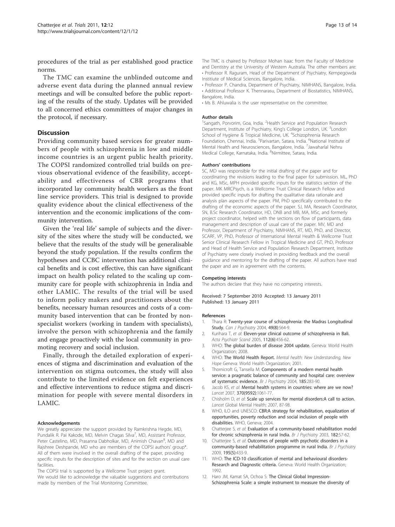<span id="page-12-0"></span>procedures of the trial as per established good practice norms.

The TMC can examine the unblinded outcome and adverse event data during the planned annual review meetings and will be consulted before the public reporting of the results of the study. Updates will be provided to all concerned ethics committees of major changes in the protocol, if necessary.

#### **Discussion**

Providing community based services for greater numbers of people with schizophrenia in low and middle income countries is an urgent public health priority. The COPSI randomized controlled trial builds on previous observational evidence of the feasibility, acceptability and effectiveness of CBR programs that incorporated lay community health workers as the front line service providers. This trial is designed to provide quality evidence about the clinical effectiveness of the intervention and the economic implications of the community intervention.

Given the 'real life' sample of subjects and the diversity of the sites where the study will be conducted, we believe that the results of the study will be generalisable beyond the study population. If the results confirm the hypotheses and CCBC intervention has additional clinical benefits and is cost effective, this can have significant impact on health policy related to the scaling up community care for people with schizophrenia in India and other LAMIC. The results of the trial will be used to inform policy makers and practitioners about the benefits, necessary human resources and costs of a community based intervention that can be fronted by nonspecialist workers (working in tandem with specialists), involve the person with schizophrenia and the family and engage proactively with the local community in promoting recovery and social inclusion.

Finally, through the detailed exploration of experiences of stigma and discrimination and evaluation of the intervention on stigma outcomes, the study will also contribute to the limited evidence on felt experiences and effective interventions to reduce stigma and discrimination for people with severe mental disorders in LAMIC.

#### Acknowledgements

We greatly appreciate the support provided by Ramkrishna Hegde, MD, Pundalik R. Pai Kakode, MD, Melvin Chagas Silva<sup>7</sup>, MD, Assistant Professor, Peter Castelino, MD, Prasanna Dabholkar, MD, Animish Chavan<sup>8</sup>, MD and Rajshree Deshpande, MD who are members of the COPSI authors' group\*. All of them were involved in the overall drafting of the paper, providing specific inputs for the description of sites and for the section on usual care facilities.

The COPSI trial is supported by a Wellcome Trust project grant. We would like to acknowledge the valuable suggestions and contributions made by members of the Trial Monitoring Committee.

The TMC is chaired by Professor Mohan Isaac from the Faculty of Medicine and Dentistry at the University of Western Australia. The other members are: • Professor R. Raguram, Head of the Department of Psychiatry, Kempegowda Institiute of Medical Sciences, Bangalore, India.

• Professor P. Chandra, Department of Psychiatry, NIMHANS, Bangalore, India. • Additional Professor K. Thennarasu, Department of Biostatistics, NIMHANS, Bangalore, India.

• Ms B. Ahluwalia is the user representative on the committee.

#### Author details

<sup>1</sup>Sangath, Porvorim, Goa, India. <sup>2</sup> Health Service and Population Research Department, Institute of Psychiatry, King's College London, UK. <sup>3</sup>London School of Hygiene & Tropical Medicine, UK. <sup>4</sup>Schizophrenia Research Foundation, Chennai, India. <sup>5</sup>Parivartan, Satara, India. <sup>6</sup>National Institute of Mental Health and Neurosciences, Bangalore, India. <sup>7</sup> Jawaharlal Nehru Medical College, Karnataka, India. <sup>8</sup>Nirmittee, Satara, India.

#### Authors' contributions

SC, MD was responsible for the initial drafting of the paper and for coordinating the revisions leading to the final paper for submission. ML, PhD and KG, MSc, MPH provided specific inputs for the statistics section of the paper. MK MRCPsych, is a Wellcome Trust Clinical Research Fellow and provided specific inputs for drafting the qualitative data rationale and analysis plan aspects of the paper. PM, PhD specifically contributed to the drafting of the economic aspects of the paper. SJ, MA, Research Coordinator, SN, B.Sc Research Coordinator, HD, DNB and MB, MA, MSc, and formerly project coordinator, helped with the sections on flow of participants, data management and description of usual care of the paper. MV, MD and Professor, Department of Psychiatry, NIMHANS, RT, MD, PhD, and Director, SCARF, VP, PhD, Professor of International Mental Health & Wellcome Trust Senior Clinical Research Fellow in Tropical Medicine and GT, PhD, Professor and Head of Health Service and Population Research Department, Institute of Psychiatry were closely involved in providing feedback and the overall guidance and mentoring for the drafting of the paper. All authors have read the paper and are in agreement with the contents.

#### Competing interests

The authors declare that they have no competing interests.

Received: 7 September 2010 Accepted: 13 January 2011 Published: 13 January 2011

#### References

- 1. Thara R: [Twenty-year course of schizophrenia: the Madras Longitudinal](http://www.ncbi.nlm.nih.gov/pubmed/15453106?dopt=Abstract) [Study.](http://www.ncbi.nlm.nih.gov/pubmed/15453106?dopt=Abstract) Can J Psychiatry 2004, 49(8):564-9.
- 2. Kurihara T, et al: [Eleven-year clinical outcome of schizophrenia in Bali.](http://www.ncbi.nlm.nih.gov/pubmed/16279875?dopt=Abstract) Acta Psychiatr Scand 2005, 112(6):456-62.
- 3. WHO: The global burden of disease 2004 update. Geneva: World Health Organization; 2008.
- 4. WHO: The World Health Report. Mental health: New Understanding, New Hope Geneva: World Health Organization; 2001.
- 5. Thornicroft G, Tansella M: [Components of a modern mental health](http://www.ncbi.nlm.nih.gov/pubmed/15458987?dopt=Abstract) [service: a pragmatic balance of community and hospital care: overview](http://www.ncbi.nlm.nih.gov/pubmed/15458987?dopt=Abstract) [of systematic evidence.](http://www.ncbi.nlm.nih.gov/pubmed/15458987?dopt=Abstract) Br J Psychiatry 2004, 185:283-90.
- 6. Jacob KS, et al: [Mental health systems in countries: where are we now?](http://www.ncbi.nlm.nih.gov/pubmed/17804052?dopt=Abstract) Lancet 2007, 370(9592):1061-77.
- 7. Chisholm D, et al: [Scale up services for mental disorders:A call to action.](http://www.ncbi.nlm.nih.gov/pubmed/17223455?dopt=Abstract) Lancet Global Mental Health; 2007, 87-98.
- 8. WHO, ILO and UNESCO: CBR:A strategy for rehabilitation, equalization of opportunities, poverty reduction and social inclusion of people with disabilities. WHO, Geneva; 2004.
- 9. Chatterjee S, et al: [Evaluation of a community-based rehabilitation model](http://www.ncbi.nlm.nih.gov/pubmed/12509319?dopt=Abstract) [for chronic schizophrenia in rural India.](http://www.ncbi.nlm.nih.gov/pubmed/12509319?dopt=Abstract) Br J Psychiatry 2003, 182:57-62.
- 10. Chatterjee S, et al: [Outcomes of people with psychotic disorders in a](http://www.ncbi.nlm.nih.gov/pubmed/19880934?dopt=Abstract) [community-based rehabilitation programme in rural India.](http://www.ncbi.nlm.nih.gov/pubmed/19880934?dopt=Abstract) Br J Psychiatry 2009, 195(5):433-9.
- 11. WHO: The ICD-10 classification of mental and behavioural disorders-Research and Diagnostic criteria. Geneva: World Health Organization; 1992.
- 12. Haro JM, Kamat SA, Ochoa S: The Clinical Global Impression-Schizophrenia Scale: a simple instrument to measure the diversity of